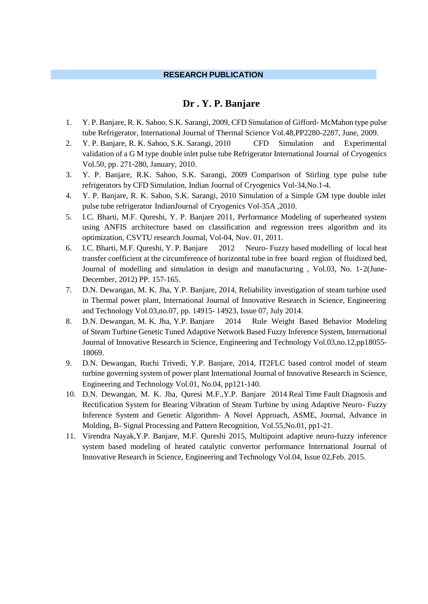#### **RESEARCH PUBLICATION**

### **Dr . Y. P. Banjare**

- 1. Y. P. Banjare, R. K. Sahoo, S.K. Sarangi, 2009, CFD Simulation of Gifford- McMahon type pulse tube Refrigerator, International Journal of Thermal Science Vol.48,PP2280-2287, June, 2009.
- 2. Y. P. Banjare, R. K. Sahoo, S.K. Sarangi, 2010 CFD Simulation and Experimental validation of a G M type double inlet pulse tube Refrigerator International Journal of Cryogenics Vol.50, pp. 271-280, January, 2010.
- 3. Y. P. Banjare, R.K. Sahoo, S.K. Sarangi, 2009 Comparison of Stirling type pulse tube refrigerators by CFD Simulation, Indian Journal of Cryogenics Vol-34,No.1-4.
- 4. Y. P. Banjare, R. K. Sahoo, S.K. Sarangi, 2010 Simulation of a Simple GM type double inlet pulse tube refrigerator IndianJournal of Cryogenics Vol-35A ,2010.
- 5. I.C. Bharti, M.F. Qureshi, Y. P. Banjare 2011, Performance Modeling of superheated system using ANFIS architecture based on classification and regression trees algorithm and its optimization, CSVTU research Journal, Vol-04, Nov. 01, 2011.
- 6. I.C. Bharti, M.F. Qureshi, Y. P. Banjare 2012 Neuro- Fuzzy based modelling of local heat transfer coefficient at the circumference of horizontal tube in free board region of fluidized bed, Journal of modelling and simulation in design and manufacturing , Vol.03, No. 1-2(June-December, 2012) PP. 157-165.
- 7. D.N. Dewangan, M. K. Jha, Y.P. Banjare, 2014, Reliability investigation of steam turbine used in Thermal power plant, International Journal of Innovative Research in Science, Engineering and Technology Vol.03,no.07, pp. 14915- 14923, Issue 07, July 2014.
- 8. D.N. Dewangan, M. K. Jha, Y.P. Banjare 2014 Rule Weight Based Behavior Modeling of Steam Turbine Genetic Tuned Adaptive Network Based Fuzzy Inference System, International Journal of Innovative Research in Science, Engineering and Technology Vol.03,no.12,pp18055- 18069.
- 9. D.N. Dewangan, Ruchi Trivedi, Y.P. Banjare, 2014, IT2FLC based control model of steam turbine governing system of power plant International Journal of Innovative Research in Science, Engineering and Technology Vol.01, No.04, pp121-140.
- 10. D.N. Dewangan, M. K. Jha, Quresi M.F.,Y.P. Banjare 2014 Real Time Fault Diagnosis and Rectification System for Bearing Vibration of Steam Turbine by using Adaptive Neuro- Fuzzy Inference System and Genetic Algorithm- A Novel Approach, ASME, Journal, Advance in Molding, B- Signal Processing and Pattern Recognition, Vol.55,No.01, pp1-21.
- 11. Virendra Nayak,Y.P. Banjare, M.F. Qureshi 2015, Multipoint adaptive neuro-fuzzy inference system based modeling of heated catalytic convertor performance International Journal of Innovative Research in Science, Engineering and Technology Vol.04, Issue 02,Feb. 2015.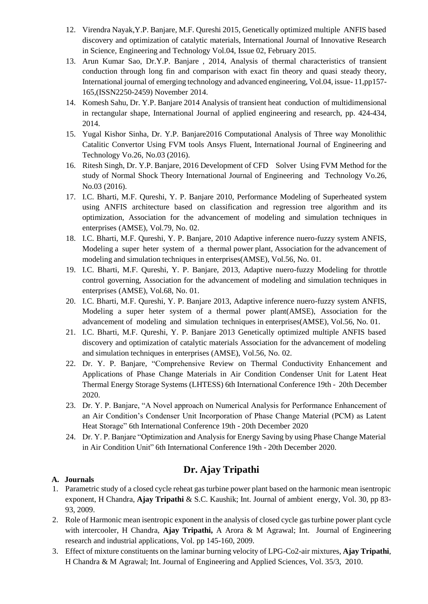- 12. Virendra Nayak,Y.P. Banjare, M.F. Qureshi 2015, Genetically optimized multiple ANFIS based discovery and optimization of catalytic materials, International Journal of Innovative Research in Science, Engineering and Technology Vol.04, Issue 02, February 2015.
- 13. Arun Kumar Sao, Dr.Y.P. Banjare , 2014, Analysis of thermal characteristics of transient conduction through long fin and comparison with exact fin theory and quasi steady theory, International journal of emerging technology and advanced engineering, Vol.04, issue- 11,pp157- 165,(ISSN2250-2459) November 2014.
- 14. Komesh Sahu, Dr. Y.P. Banjare 2014 Analysis of transient heat conduction of multidimensional in rectangular shape, International Journal of applied engineering and research, pp. 424-434, 2014.
- 15. Yugal Kishor Sinha, Dr. Y.P. Banjare2016 Computational Analysis of Three way Monolithic Catalitic Convertor Using FVM tools Ansys Fluent, International Journal of Engineering and Technology Vo.26, No.03 (2016).
- 16. Ritesh Singh, Dr. Y.P. Banjare, 2016 Development of CFD Solver Using FVM Method for the study of Normal Shock Theory International Journal of Engineering and Technology Vo.26, No.03 (2016).
- 17. I.C. Bharti, M.F. Qureshi, Y. P. Banjare 2010, Performance Modeling of Superheated system using ANFIS architecture based on classification and regression tree algorithm and its optimization, Association for the advancement of modeling and simulation techniques in enterprises (AMSE), Vol.79, No. 02.
- 18. I.C. Bharti, M.F. Qureshi, Y. P. Banjare, 2010 Adaptive inference nuero-fuzzy system ANFIS, Modeling a super heter system of a thermal power plant, Association for the advancement of modeling and simulation techniques in enterprises(AMSE), Vol.56, No. 01.
- 19. I.C. Bharti, M.F. Qureshi, Y. P. Banjare, 2013, Adaptive nuero-fuzzy Modeling for throttle control governing, Association for the advancement of modeling and simulation techniques in enterprises (AMSE), Vol.68, No. 01.
- 20. I.C. Bharti, M.F. Qureshi, Y. P. Banjare 2013, Adaptive inference nuero-fuzzy system ANFIS, Modeling a super heter system of a thermal power plant(AMSE), Association for the advancement of modeling and simulation techniques in enterprises(AMSE), Vol.56, No. 01.
- 21. I.C. Bharti, M.F. Qureshi, Y. P. Banjare 2013 Genetically optimized multiple ANFIS based discovery and optimization of catalytic materials Association for the advancement of modeling and simulation techniques in enterprises (AMSE), Vol.56, No. 02.
- 22. Dr. Y. P. Banjare, "Comprehensive Review on Thermal Conductivity Enhancement and Applications of Phase Change Materials in Air Condition Condenser Unit for Latent Heat Thermal Energy Storage Systems (LHTESS) 6th International Conference 19th - 20th December 2020.
- 23. Dr. Y. P. Banjare, "A Novel approach on Numerical Analysis for Performance Enhancement of an Air Condition's Condenser Unit Incorporation of Phase Change Material (PCM) as Latent Heat Storage" 6th International Conference 19th - 20th December 2020
- 24. Dr. Y. P. Banjare "Optimization and Analysis for Energy Saving by using Phase Change Material in Air Condition Unit" 6th International Conference 19th - 20th December 2020.

# **Dr. Ajay Tripathi**

# **A. Journals**

- 1. Parametric study of a closed cycle reheat gas turbine power plant based on the harmonic mean isentropic exponent, H Chandra, **Ajay Tripathi** & S.C. Kaushik; Int. Journal of ambient energy, Vol. 30, pp 83- 93, 2009.
- 2. Role of Harmonic mean isentropic exponent in the analysis of closed cycle gas turbine power plant cycle with intercooler, H Chandra, **Ajay Tripathi,** A Arora & M Agrawal; Int. Journal of Engineering research and industrial applications, Vol. pp 145-160, 2009.
- 3. Effect of mixture constituents on the laminar burning velocity of LPG-Co2-air mixtures, **Ajay Tripathi**, H Chandra & M Agrawal; Int. Journal of Engineering and Applied Sciences, Vol. 35/3, 2010.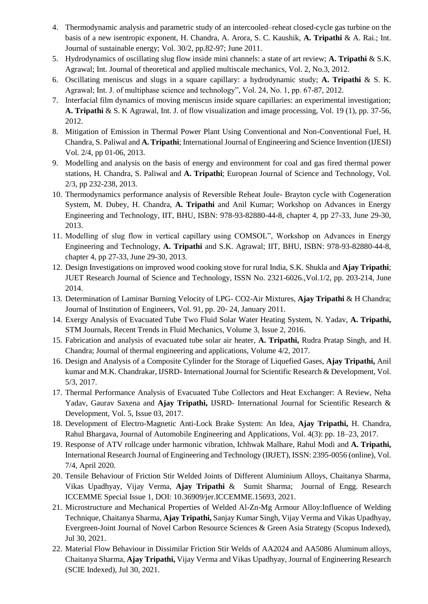- 4. Thermodynamic analysis and parametric study of an intercooled–reheat closed-cycle gas turbine on the basis of a new isentropic exponent, H. Chandra, A. Arora, S. C. Kaushik, **A. Tripathi** & A. Rai.; Int. Journal of sustainable energy; Vol. 30/2, pp.82-97; June 2011.
- 5. Hydrodynamics of oscillating slug flow inside mini channels: a state of art review; **A. Tripathi** & S.K. Agrawal; Int. Journal of theoretical and applied multiscale mechanics, Vol. 2, No.3, 2012.
- 6. Oscillating meniscus and slugs in a square capillary: a hydrodynamic study; **A. Tripathi** & S. K. Agrawal; Int. J. of multiphase science and technology", Vol. 24, No. 1, pp. 67-87, 2012.
- 7. Interfacial film dynamics of moving meniscus inside square capillaries: an experimental investigation; **A. Tripathi** & S. K Agrawal, Int. J. of flow visualization and image processing, Vol. 19 (1), pp. 37-56, 2012.
- 8. Mitigation of Emission in Thermal Power Plant Using Conventional and Non-Conventional Fuel, H. Chandra, S. Paliwal and **A. Tripathi**; International Journal of Engineering and Science Invention (IJESI) Vol. 2/4, pp 01-06, 2013.
- 9. Modelling and analysis on the basis of energy and environment for coal and gas fired thermal power stations, H. Chandra, S. Paliwal and **A. Tripathi**; European Journal of Science and Technology, Vol. 2/3, pp 232-238, 2013.
- 10. Thermodynamics performance analysis of Reversible Reheat Joule- Brayton cycle with Cogeneration System, M. Dubey, H. Chandra, **A. Tripathi** and Anil Kumar; Workshop on Advances in Energy Engineering and Technology, IIT, BHU, ISBN: 978-93-82880-44-8, chapter 4, pp 27-33, June 29-30, 2013.
- 11. Modelling of slug flow in vertical capillary using COMSOL", Workshop on Advances in Energy Engineering and Technology, **A. Tripathi** and S.K. Agrawal; IIT, BHU, ISBN: 978-93-82880-44-8, chapter 4, pp 27-33, June 29-30, 2013.
- 12. Design Investigations on improved wood cooking stove for rural India, S.K. Shukla and **Ajay Tripathi**; JUET Research Journal of Science and Technology, ISSN No. 2321-6026.,Vol.1/2, pp. 203-214, June 2014.
- 13. Determination of Laminar Burning Velocity of LPG- CO2-Air Mixtures, **Ajay Tripathi** & H Chandra; Journal of Institution of Engineers, Vol. 91, pp. 20- 24, January 2011.
- 14. Exergy Analysis of Evacuated Tube Two Fluid Solar Water Heating System, N. Yadav, **A. Tripathi,** STM Journals, Recent Trends in Fluid Mechanics, Volume 3, Issue 2, 2016.
- 15. Fabrication and analysis of evacuated tube solar air heater, **A. Tripathi,** Rudra Pratap Singh, and H. Chandra; Journal of thermal engineering and applications, Volume 4/2, 2017.
- 16. Design and Analysis of a Composite Cylinder for the Storage of Liquefied Gases, **Ajay Tripathi,** Anil kumar and M.K. Chandrakar, IJSRD- International Journal for Scientific Research & Development, Vol. 5/3, 2017.
- 17. Thermal Performance Analysis of Evacuated Tube Collectors and Heat Exchanger: A Review, Neha Yadav, Gaurav Saxena and **Ajay Tripathi,** IJSRD- International Journal for Scientific Research & Development, Vol. 5, Issue 03, 2017.
- 18. Development of Electro-Magnetic Anti-Lock Brake System: An Idea, **Ajay Tripathi,** H. Chandra, Rahul Bhargava, Journal of Automobile Engineering and Applications, Vol. 4(3): pp. 18–23, 2017.
- 19. Response of ATV rollcage under harmonic vibration, Ichhwak Malhare, Rahul Modi and **A. Tripathi,** International Research Journal of Engineering and Technology (IRJET), ISSN: 2395-0056 (online), Vol. 7/4, April 2020.
- 20. Tensile Behaviour of Friction Stir Welded Joints of Different Aluminium Alloys, Chaitanya Sharma, Vikas Upadhyay, Vijay Verma, **Ajay Tripathi** & Sumit Sharma; Journal of Engg. Research ICCEMME Special Issue 1, DOI: 10.36909/jer.ICCEMME.15693, 2021.
- 21. Microstructure and Mechanical Properties of Welded Al-Zn-Mg Armour Alloy:Influence of Welding Technique, Chaitanya Sharma, **Ajay Tripathi,** Sanjay Kumar Singh, Vijay Verma and Vikas Upadhyay, Evergreen-Joint Journal of Novel Carbon Resource Sciences & Green Asia Strategy (Scopus Indexed), Jul 30, 2021.
- 22. Material Flow Behaviour in Dissimilar Friction Stir Welds of AA2024 and AA5086 Aluminum alloys, Chaitanya Sharma, **Ajay Tripathi,** Vijay Verma and Vikas Upadhyay, Journal of Engineering Research (SCIE Indexed), Jul 30, 2021.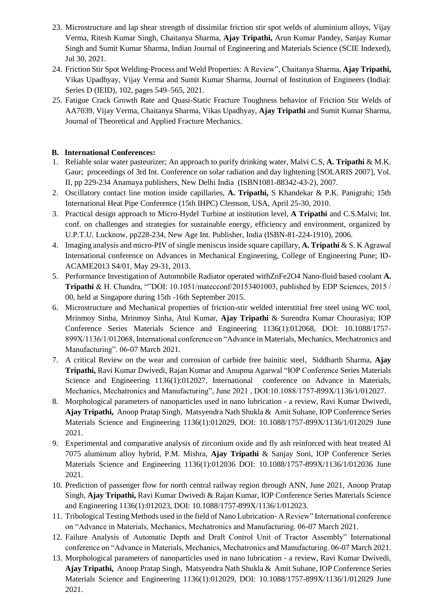- 23. Microstructure and lap shear strength of dissimilar friction stir spot welds of aluminium alloys, Vijay Verma, Ritesh Kumar Singh, Chaitanya Sharma, **Ajay Tripathi,** Arun Kumar Pandey, Sanjay Kumar Singh and Sumit Kumar Sharma, Indian Journal of Engineering and Materials Science (SCIE Indexed), Jul 30, 2021.
- 24. Friction Stir Spot Welding-Process and Weld Properties: A Review", Chaitanya Sharma, **Ajay Tripathi,**  Vikas Upadhyay, Vijay Verma and Sumit Kumar Sharma, Journal of Institution of Engineers (India): Series D (IEID), 102, pages 549–565, 2021.
- 25. Fatigue Crack Growth Rate and Quasi-Static Fracture Toughness behavior of Friction Stir Welds of AA7039, Vijay Verma, Chaitanya Sharma, Vikas Upadhyay, **Ajay Tripathi** and Sumit Kumar Sharma, Journal of Theoretical and Applied Fracture Mechanics.

#### **B. International Conferences:**

- 1. Reliable solar water pasteurizer; An approach to purify drinking water, Malvi C.S, **A. Tripathi** & M.K. Gaur; proceedings of 3rd Int. Conference on solar radiation and day lightening [SOLARIS 2007], Vol. II, pp 229-234 Anamaya publishers, New Delhi India (ISBN1081-88342-43-2), 2007.
- 2. Oscillatory contact line motion inside capillaries, **A. Tripathi,** S Khandekar & P.K. Panigrahi; 15th International Heat Pipe Conference (15th IHPC) Clemson, USA, April 25-30, 2010.
- 3. Practical design approach to Micro-Hydel Turbine at institution level, **A Tripathi** and C.S.Malvi; Int. conf. on challenges and strategies for sustainable energy, efficiency and environment, organized by U.P.T.U. Lucknow, pp228-234, New Age Int. Publisher, India (ISBN-81-224-1910), 2006.
- 4. Imaging analysis and micro-PIV of single meniscus inside square capillary, **A. Tripathi** & S. K Agrawal International conference on Advances in Mechanical Engineering, College of Engineering Pune; ID-ACAME2013 S4/01, May 29-31, 2013.
- 5. Performance Investigation of Automobile Radiator operated withZnFe2O4 Nano-fluid based coolant **A. Tripathi** & H. Chandra, ""DOI: 10.1051/matecconf/20153401003, published by EDP Sciences, 2015 / 00, held at Singapore during 15th -16th September 2015.
- 6. Microstructure and Mechanical properties of friction-stir welded interstitial free steel using WC tool, Mrinmoy Sinha, Mrinmoy Sinha, Atul Kumar, **Ajay Tripathi** & Surendra Kumar Chourasiya; IOP Conference Series Materials Science and Engineering 1136(1):012068, DOI: 10.1088/1757- 899X/1136/1/012068, International conference on "Advance in Materials, Mechanics, Mechatronics and Manufacturing". 06-07 March 2021.
- 7. A critical Review on the wear and corrosion of carbide free bainitic steel, Siddharth Sharma, **Ajay Tripathi,** Ravi Kumar Dwivedi, Rajan Kumar and Anupma Agarwal "IOP Conference Series Materials Science and Engineering 1136(1):012027, International conference on Advance in Materials, Mechanics, Mechatronics and Manufacturing", June 2021 , DOI:10.1088/1757-899X/1136/1/012027.
- 8. Morphological parameters of nanoparticles used in nano lubrication a review, Ravi Kumar Dwivedi, **Ajay Tripathi,** Anoop Pratap Singh, Matsyendra Nath Shukla & Amit Suhane, IOP Conference Series Materials Science and Engineering 1136(1):012029, DOI: 10.1088/1757-899X/1136/1/012029 June 2021.
- 9. Experimental and comparative analysis of zirconium oxide and fly ash reinforced with heat treated Al 7075 aluminum alloy hybrid, [P.M. Mishra,](https://www.researchgate.net/scientific-contributions/PM-Mishra-2196883337?_sg%5B0%5D=1igBQSFFj51knaOUQDUeJA2-EyehxQoIAsDJi3i-9KO9bAQRy0mj9N-9Y7ZWYdycTjzKhcM.YON69dheN64EOGjGsc1Zah_zbjkg-zawld5YKLjmnv0Ygbx7HGdK7M_mueH6tBxOU6GbTC0gFvNkTVzyRxKePg&_sg%5B1%5D=yligbDtfUfKFovd7qwGn0q6MkIvakdFzf-bSgA_aiGUn34hGevkVRJ3qdj_cW-1gv16i_MM.3i2TebceH4MydTJtApTT-uLI5PgHHqzAo1iOf16q6ofTCo81ZAAcsn2xVqaJVl3_T8ddN-Y6Jr_pZ6mzmUpttQ) **[Ajay Tripathi](https://www.researchgate.net/profile/Ajay-Tripathi-6?_sg%5B0%5D=1igBQSFFj51knaOUQDUeJA2-EyehxQoIAsDJi3i-9KO9bAQRy0mj9N-9Y7ZWYdycTjzKhcM.YON69dheN64EOGjGsc1Zah_zbjkg-zawld5YKLjmnv0Ygbx7HGdK7M_mueH6tBxOU6GbTC0gFvNkTVzyRxKePg&_sg%5B1%5D=yligbDtfUfKFovd7qwGn0q6MkIvakdFzf-bSgA_aiGUn34hGevkVRJ3qdj_cW-1gv16i_MM.3i2TebceH4MydTJtApTT-uLI5PgHHqzAo1iOf16q6ofTCo81ZAAcsn2xVqaJVl3_T8ddN-Y6Jr_pZ6mzmUpttQ)** & [Sanjay Soni,](https://www.researchgate.net/scientific-contributions/Sanjay-Soni-2196868042?_sg%5B0%5D=1igBQSFFj51knaOUQDUeJA2-EyehxQoIAsDJi3i-9KO9bAQRy0mj9N-9Y7ZWYdycTjzKhcM.YON69dheN64EOGjGsc1Zah_zbjkg-zawld5YKLjmnv0Ygbx7HGdK7M_mueH6tBxOU6GbTC0gFvNkTVzyRxKePg&_sg%5B1%5D=yligbDtfUfKFovd7qwGn0q6MkIvakdFzf-bSgA_aiGUn34hGevkVRJ3qdj_cW-1gv16i_MM.3i2TebceH4MydTJtApTT-uLI5PgHHqzAo1iOf16q6ofTCo81ZAAcsn2xVqaJVl3_T8ddN-Y6Jr_pZ6mzmUpttQ) [IOP Conference Series](https://www.researchgate.net/journal/IOP-Conference-Series-Materials-Science-and-Engineering-1757-899X)  [Materials Science and Engineering](https://www.researchgate.net/journal/IOP-Conference-Series-Materials-Science-and-Engineering-1757-899X) 1136(1):012036 DOI: [10.1088/1757-899X/1136/1/012036](http://dx.doi.org/10.1088/1757-899X/1136/1/012036) June 2021.
- 10. Prediction of passenger flow for north central railway region through ANN, June 2021, [Anoop Pratap](https://www.researchgate.net/profile/Anoop-Singh-27?_sg%5B0%5D=5UuxGHyc0zcrV7wVq1w-dMSNVO4xvMxDk4OrR7x9AGA_u4WDicjzPIN29mJC45cDL0ewp6o.BG392eTXOh6NNwxPqNSKKSJNF5caI4J37LYb7gtKWP0KLFD2-b6c2p8Xd4SLdC-hPixjc3N0PgOHrZmh6zjFHQ&_sg%5B1%5D=vmRdFXshOUvYXXZpOu-R2GZmW7t5eJHR3LA32Ic-2QwzFgI6vKaEoYsoFPsxAUhqXjR5FEo.5pRvWh2_RDMQ7Xis_p2hAy1iW4_cZH2Nmlg6l_EW_9BiwSuMp8UgLJ_Dpp-soROryjHtKLUMriM5MB21SWOsPw)  [Singh,](https://www.researchgate.net/profile/Anoop-Singh-27?_sg%5B0%5D=5UuxGHyc0zcrV7wVq1w-dMSNVO4xvMxDk4OrR7x9AGA_u4WDicjzPIN29mJC45cDL0ewp6o.BG392eTXOh6NNwxPqNSKKSJNF5caI4J37LYb7gtKWP0KLFD2-b6c2p8Xd4SLdC-hPixjc3N0PgOHrZmh6zjFHQ&_sg%5B1%5D=vmRdFXshOUvYXXZpOu-R2GZmW7t5eJHR3LA32Ic-2QwzFgI6vKaEoYsoFPsxAUhqXjR5FEo.5pRvWh2_RDMQ7Xis_p2hAy1iW4_cZH2Nmlg6l_EW_9BiwSuMp8UgLJ_Dpp-soROryjHtKLUMriM5MB21SWOsPw) **[Ajay Tripathi,](https://www.researchgate.net/profile/Ajay-Tripathi-6?_sg%5B0%5D=5UuxGHyc0zcrV7wVq1w-dMSNVO4xvMxDk4OrR7x9AGA_u4WDicjzPIN29mJC45cDL0ewp6o.BG392eTXOh6NNwxPqNSKKSJNF5caI4J37LYb7gtKWP0KLFD2-b6c2p8Xd4SLdC-hPixjc3N0PgOHrZmh6zjFHQ&_sg%5B1%5D=vmRdFXshOUvYXXZpOu-R2GZmW7t5eJHR3LA32Ic-2QwzFgI6vKaEoYsoFPsxAUhqXjR5FEo.5pRvWh2_RDMQ7Xis_p2hAy1iW4_cZH2Nmlg6l_EW_9BiwSuMp8UgLJ_Dpp-soROryjHtKLUMriM5MB21SWOsPw)** [Ravi Kumar Dwivedi](https://www.researchgate.net/profile/Ravi-Dwivedi-4?_sg%5B0%5D=5UuxGHyc0zcrV7wVq1w-dMSNVO4xvMxDk4OrR7x9AGA_u4WDicjzPIN29mJC45cDL0ewp6o.BG392eTXOh6NNwxPqNSKKSJNF5caI4J37LYb7gtKWP0KLFD2-b6c2p8Xd4SLdC-hPixjc3N0PgOHrZmh6zjFHQ&_sg%5B1%5D=vmRdFXshOUvYXXZpOu-R2GZmW7t5eJHR3LA32Ic-2QwzFgI6vKaEoYsoFPsxAUhqXjR5FEo.5pRvWh2_RDMQ7Xis_p2hAy1iW4_cZH2Nmlg6l_EW_9BiwSuMp8UgLJ_Dpp-soROryjHtKLUMriM5MB21SWOsPw) & [Rajan Kumar,](https://www.researchgate.net/profile/Rajan-Kumar-21?_sg%5B0%5D=5UuxGHyc0zcrV7wVq1w-dMSNVO4xvMxDk4OrR7x9AGA_u4WDicjzPIN29mJC45cDL0ewp6o.BG392eTXOh6NNwxPqNSKKSJNF5caI4J37LYb7gtKWP0KLFD2-b6c2p8Xd4SLdC-hPixjc3N0PgOHrZmh6zjFHQ&_sg%5B1%5D=vmRdFXshOUvYXXZpOu-R2GZmW7t5eJHR3LA32Ic-2QwzFgI6vKaEoYsoFPsxAUhqXjR5FEo.5pRvWh2_RDMQ7Xis_p2hAy1iW4_cZH2Nmlg6l_EW_9BiwSuMp8UgLJ_Dpp-soROryjHtKLUMriM5MB21SWOsPw) [IOP Conference Series Materials Science](https://www.researchgate.net/journal/IOP-Conference-Series-Materials-Science-and-Engineering-1757-899X)  [and Engineering](https://www.researchgate.net/journal/IOP-Conference-Series-Materials-Science-and-Engineering-1757-899X) 1136(1):012023, DOI: [10.1088/1757-899X/1136/1/012023.](http://dx.doi.org/10.1088/1757-899X/1136/1/012023)
- 11. Tribological Testing Methods used in the field of Nano Lubrication- A Review" International conference on "Advance in Materials, Mechanics, Mechatronics and Manufacturing. 06-07 March 2021.
- 12. Failure Analysis of Automatic Depth and Draft Control Unit of Tractor Assembly" International conference on "Advance in Materials, Mechanics, Mechatronics and Manufacturing. 06-07 March 2021.
- 13. Morphological parameters of nanoparticles used in nano lubrication a review, Ravi Kumar Dwivedi, **Ajay Tripathi,** Anoop Pratap Singh, Matsyendra Nath Shukla & Amit Suhane, IOP Conference Series Materials Science and Engineering 1136(1):012029, DOI: 10.1088/1757-899X/1136/1/012029 June 2021.